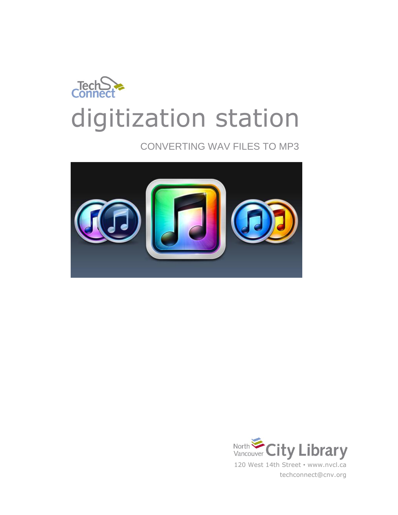

CONVERTING WAV FILES TO MP3



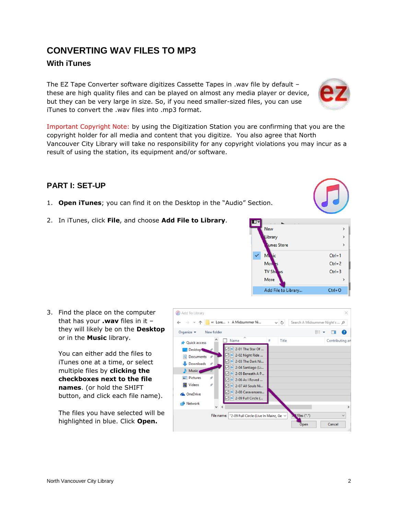#### North Vancouver City Library 2

# **CONVERTING WAV FILES TO MP3**

#### **With iTunes**

The EZ Tape Converter software digitizes Cassette Tapes in .wav file by default – these are high quality files and can be played on almost any media player or device, but they can be very large in size. So, if you need smaller-sized files, you can use iTunes to convert the .wav files into .mp3 format.

Important Copyright Note: by using the Digitization Station you are confirming that you are the copyright holder for all media and content that you digitize. You also agree that North Vancouver City Library will take no responsibility for any copyright violations you may incur as a result of using the station, its equipment and/or software.

### **PART I: SET-UP**

- 1. **Open iTunes**; you can find it on the Desktop in the "Audio" Section.
- 2. In iTunes, click **File**, and choose **Add File to Library**.

3. Find the place on the computer that has your **.wav** files in it – they will likely be on the **Desktop** or in the **Music** library.

You can either add the files to iTunes one at a time, or select multiple files by **clicking the checkboxes next to the file names**. (or hold the SHIFT button, and click each file name).

The files you have selected will be highlighted in blue. Click **Open.**







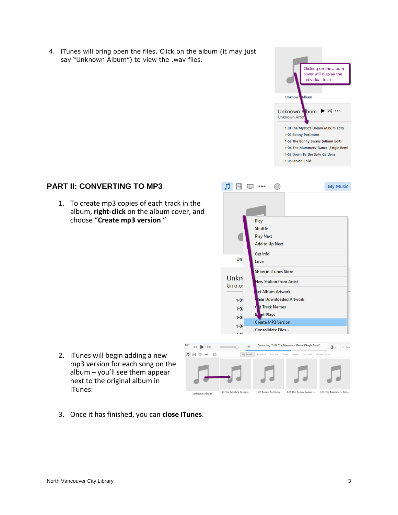4. iTunes will bring open the files. Click on the album (it may just say "Unknown Album") to view the .wav files.



# **PART II: CONVERTING TO MP3**

1. To create mp3 copies of each track in the album, **right-click** on the album cover, and choose "**Create mp3 version**."



2. iTunes will begin adding a new mp3 version for each song on the album – you'll see them appear next to the original album in iTunes:



3. Once it has finished, you can **close iTunes**.